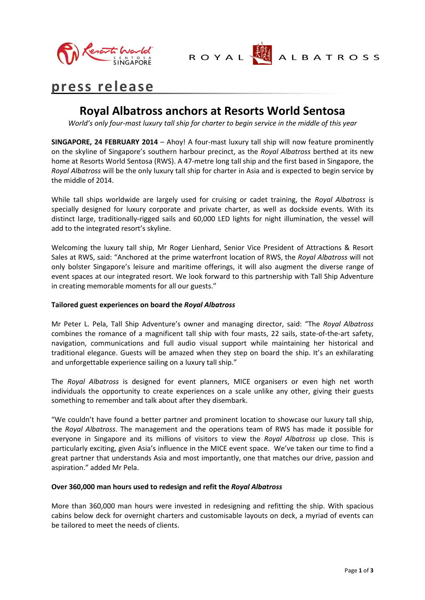



# **press release**

# **Royal Albatross anchors at Resorts World Sentosa**

*World's only four-mast luxury tall ship for charter to begin service in the middle of this year*

**SINGAPORE, 24 FEBRUARY 2014** – Ahoy! A four-mast luxury tall ship will now feature prominently on the skyline of Singapore's southern harbour precinct, as the *Royal Albatross* berthed at its new home at Resorts World Sentosa (RWS). A 47-metre long tall ship and the first based in Singapore, the *Royal Albatross* will be the only luxury tall ship for charter in Asia and is expected to begin service by the middle of 2014.

While tall ships worldwide are largely used for cruising or cadet training, the *Royal Albatross* is specially designed for luxury corporate and private charter, as well as dockside events. With its distinct large, traditionally-rigged sails and 60,000 LED lights for night illumination, the vessel will add to the integrated resort's skyline.

Welcoming the luxury tall ship, Mr Roger Lienhard, Senior Vice President of Attractions & Resort Sales at RWS, said: "Anchored at the prime waterfront location of RWS, the *Royal Albatross* will not only bolster Singapore's leisure and maritime offerings, it will also augment the diverse range of event spaces at our integrated resort. We look forward to this partnership with Tall Ship Adventure in creating memorable moments for all our guests."

# **Tailored guest experiences on board the** *Royal Albatross*

Mr Peter L. Pela, Tall Ship Adventure's owner and managing director, said: "The *Royal Albatross* combines the romance of a magnificent tall ship with four masts, 22 sails, state-of-the-art safety, navigation, communications and full audio visual support while maintaining her historical and traditional elegance. Guests will be amazed when they step on board the ship. It's an exhilarating and unforgettable experience sailing on a luxury tall ship."

The *Royal Albatross* is designed for event planners, MICE organisers or even high net worth individuals the opportunity to create experiences on a scale unlike any other, giving their guests something to remember and talk about after they disembark.

"We couldn't have found a better partner and prominent location to showcase our luxury tall ship, the *Royal Albatross*. The management and the operations team of RWS has made it possible for everyone in Singapore and its millions of visitors to view the *Royal Albatross* up close. This is particularly exciting, given Asia's influence in the MICE event space. We've taken our time to find a great partner that understands Asia and most importantly, one that matches our drive, passion and aspiration." added Mr Pela.

# **Over 360,000 man hours used to redesign and refit the** *Royal Albatross*

More than 360,000 man hours were invested in redesigning and refitting the ship. With spacious cabins below deck for overnight charters and customisable layouts on deck, a myriad of events can be tailored to meet the needs of clients.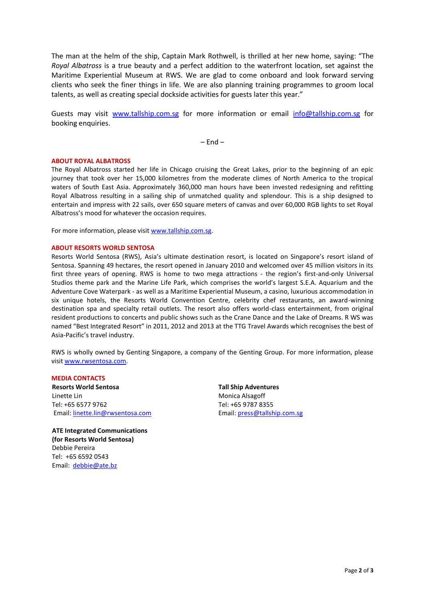The man at the helm of the ship, Captain Mark Rothwell, is thrilled at her new home, saying: "The *Royal Albatross* is a true beauty and a perfect addition to the waterfront location, set against the Maritime Experiential Museum at RWS. We are glad to come onboard and look forward serving clients who seek the finer things in life. We are also planning training programmes to groom local talents, as well as creating special dockside activities for guests later this year."

Guests may visit [www.tallship.com.sg](http://www.tallship.com.sg/) for more information or email [info@tallship.com.sg](mailto:info@tallship.com.sg) for booking enquiries.

 $-$  End  $-$ 

#### **ABOUT ROYAL ALBATROSS**

The Royal Albatross started her life in Chicago cruising the Great Lakes, prior to the beginning of an epic journey that took over her 15,000 kilometres from the moderate climes of North America to the tropical waters of South East Asia. Approximately 360,000 man hours have been invested redesigning and refitting Royal Albatross resulting in a sailing ship of unmatched quality and splendour. This is a ship designed to entertain and impress with 22 sails, over 650 square meters of canvas and over 60,000 RGB lights to set Royal Albatross's mood for whatever the occasion requires.

For more information, please visit [www.tallship.com.sg.](http://www.tallship.com.sg/) 

#### **ABOUT RESORTS WORLD SENTOSA**

Resorts World Sentosa (RWS), Asia's ultimate destination resort, is located on Singapore's resort island of Sentosa. Spanning 49 hectares, the resort opened in January 2010 and welcomed over 45 million visitors in its first three years of opening. RWS is home to two mega attractions - the region's first-and-only Universal Studios theme park and the Marine Life Park, which comprises the world's largest S.E.A. Aquarium and the Adventure Cove Waterpark - as well as a Maritime Experiential Museum, a casino, luxurious accommodation in six unique hotels, the Resorts World Convention Centre, celebrity chef restaurants, an award-winning destination spa and specialty retail outlets. The resort also offers world-class entertainment, from original resident productions to concerts and public shows such as the Crane Dance and the Lake of Dreams. R WS was named "Best Integrated Resort" in 2011, 2012 and 2013 at the TTG Travel Awards which recognises the best of Asia-Pacific's travel industry.

RWS is wholly owned by Genting Singapore, a company of the Genting Group. For more information, please visi[t www.rwsentosa.com.](http://www.rwsentosa.com/)

## **MEDIA CONTACTS**

**Resorts World Sentosa**  Linette Lin Tel: +65 6577 9762 Email[: linette.lin@rwsentosa.com](mailto:linette.lin@rwsentosa.com)

**ATE Integrated Communications (for Resorts World Sentosa)** Debbie Pereira Tel: +65 6592 0543 Email: [debbie@ate.bz](mailto:debbie@ate.bz)

**Tall Ship Adventures**  Monica Alsagoff Tel: +65 9787 8355 Email[: press@tallship.com.sg](mailto:press@tallship.com.sg)